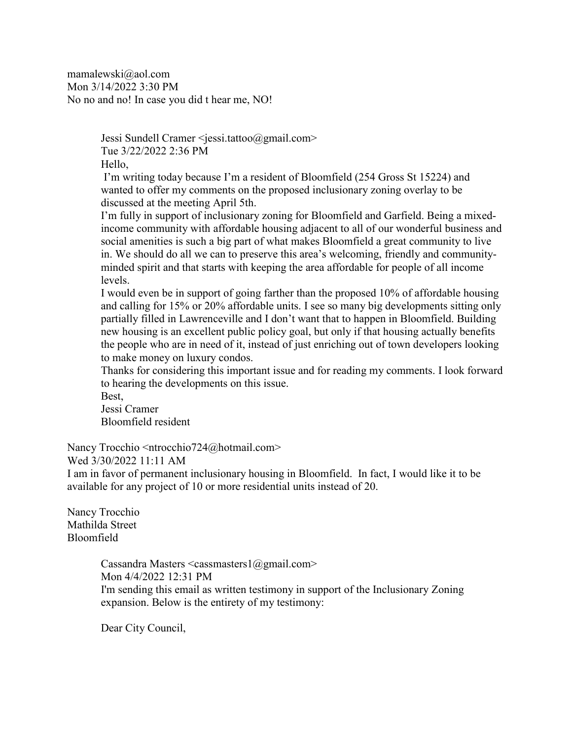mamalewski@aol.com Mon 3/14/2022 3:30 PM No no and no! In case you did t hear me, NO!

> Jessi Sundell Cramer <jessi.tattoo@gmail.com> Tue 3/22/2022 2:36 PM Hello,

I'm writing today because I'm a resident of Bloomfield (254 Gross St 15224) and wanted to offer my comments on the proposed inclusionary zoning overlay to be discussed at the meeting April 5th.

I'm fully in support of inclusionary zoning for Bloomfield and Garfield. Being a mixedincome community with affordable housing adjacent to all of our wonderful business and social amenities is such a big part of what makes Bloomfield a great community to live in. We should do all we can to preserve this area's welcoming, friendly and communityminded spirit and that starts with keeping the area affordable for people of all income levels.

I would even be in support of going farther than the proposed 10% of affordable housing and calling for 15% or 20% affordable units. I see so many big developments sitting only partially filled in Lawrenceville and I don't want that to happen in Bloomfield. Building new housing is an excellent public policy goal, but only if that housing actually benefits the people who are in need of it, instead of just enriching out of town developers looking to make money on luxury condos.

Thanks for considering this important issue and for reading my comments. I look forward to hearing the developments on this issue.

Best,

Jessi Cramer Bloomfield resident

Nancy Trocchio <ntrocchio724@hotmail.com>

Wed 3/30/2022 11:11 AM

I am in favor of permanent inclusionary housing in Bloomfield. In fact, I would like it to be available for any project of 10 or more residential units instead of 20.

Nancy Trocchio Mathilda Street Bloomfield

> Cassandra Masters  $\leq$ cassmasters1@gmail.com> Mon 4/4/2022 12:31 PM I'm sending this email as written testimony in support of the Inclusionary Zoning expansion. Below is the entirety of my testimony:

Dear City Council,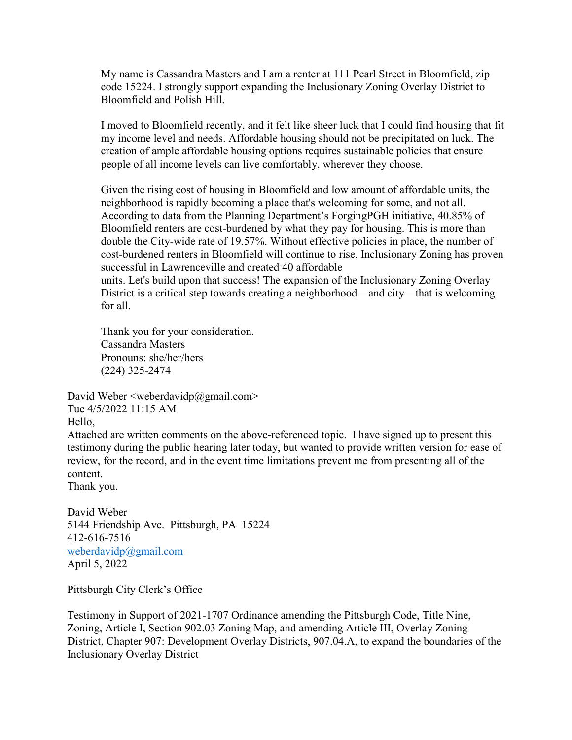My name is Cassandra Masters and I am a renter at 111 Pearl Street in Bloomfield, zip code 15224. I strongly support expanding the Inclusionary Zoning Overlay District to Bloomfield and Polish Hill.

I moved to Bloomfield recently, and it felt like sheer luck that I could find housing that fit my income level and needs. Affordable housing should not be precipitated on luck. The creation of ample affordable housing options requires sustainable policies that ensure people of all income levels can live comfortably, wherever they choose.

Given the rising cost of housing in Bloomfield and low amount of affordable units, the neighborhood is rapidly becoming a place that's welcoming for some, and not all. According to data from the Planning Department's ForgingPGH initiative, 40.85% of Bloomfield renters are cost-burdened by what they pay for housing. This is more than double the City-wide rate of 19.57%. Without effective policies in place, the number of cost-burdened renters in Bloomfield will continue to rise. Inclusionary Zoning has proven successful in Lawrenceville and created 40 affordable units. Let's build upon that success! The expansion of the Inclusionary Zoning Overlay District is a critical step towards creating a neighborhood—and city—that is welcoming for all.

Thank you for your consideration. Cassandra Masters Pronouns: she/her/hers (224) 325-2474

David Weber  $\leq$ weberdavidp $\omega$ gmail.com> Tue 4/5/2022 11:15 AM Hello, Attached are written comments on the above-referenced topic. I have signed up to present this

testimony during the public hearing later today, but wanted to provide written version for ease of review, for the record, and in the event time limitations prevent me from presenting all of the content.

Thank you.

David Weber 5144 Friendship Ave. Pittsburgh, PA 15224 412-616-7516 [weberdavidp@gmail.com](mailto:weberdavidp@gmail.com) April 5, 2022

Pittsburgh City Clerk's Office

Testimony in Support of 2021-1707 Ordinance amending the Pittsburgh Code, Title Nine, Zoning, Article I, Section 902.03 Zoning Map, and amending Article III, Overlay Zoning District, Chapter 907: Development Overlay Districts, 907.04.A, to expand the boundaries of the Inclusionary Overlay District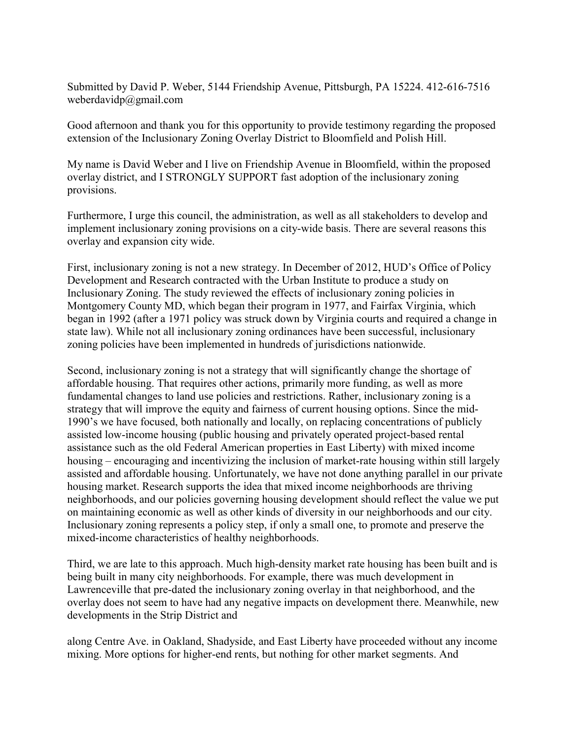Submitted by David P. Weber, 5144 Friendship Avenue, Pittsburgh, PA 15224. 412-616-7516 weberdavidp@gmail.com

Good afternoon and thank you for this opportunity to provide testimony regarding the proposed extension of the Inclusionary Zoning Overlay District to Bloomfield and Polish Hill.

My name is David Weber and I live on Friendship Avenue in Bloomfield, within the proposed overlay district, and I STRONGLY SUPPORT fast adoption of the inclusionary zoning provisions.

Furthermore, I urge this council, the administration, as well as all stakeholders to develop and implement inclusionary zoning provisions on a city-wide basis. There are several reasons this overlay and expansion city wide.

First, inclusionary zoning is not a new strategy. In December of 2012, HUD's Office of Policy Development and Research contracted with the Urban Institute to produce a study on Inclusionary Zoning. The study reviewed the effects of inclusionary zoning policies in Montgomery County MD, which began their program in 1977, and Fairfax Virginia, which began in 1992 (after a 1971 policy was struck down by Virginia courts and required a change in state law). While not all inclusionary zoning ordinances have been successful, inclusionary zoning policies have been implemented in hundreds of jurisdictions nationwide.

Second, inclusionary zoning is not a strategy that will significantly change the shortage of affordable housing. That requires other actions, primarily more funding, as well as more fundamental changes to land use policies and restrictions. Rather, inclusionary zoning is a strategy that will improve the equity and fairness of current housing options. Since the mid-1990's we have focused, both nationally and locally, on replacing concentrations of publicly assisted low-income housing (public housing and privately operated project-based rental assistance such as the old Federal American properties in East Liberty) with mixed income housing – encouraging and incentivizing the inclusion of market-rate housing within still largely assisted and affordable housing. Unfortunately, we have not done anything parallel in our private housing market. Research supports the idea that mixed income neighborhoods are thriving neighborhoods, and our policies governing housing development should reflect the value we put on maintaining economic as well as other kinds of diversity in our neighborhoods and our city. Inclusionary zoning represents a policy step, if only a small one, to promote and preserve the mixed-income characteristics of healthy neighborhoods.

Third, we are late to this approach. Much high-density market rate housing has been built and is being built in many city neighborhoods. For example, there was much development in Lawrenceville that pre-dated the inclusionary zoning overlay in that neighborhood, and the overlay does not seem to have had any negative impacts on development there. Meanwhile, new developments in the Strip District and

along Centre Ave. in Oakland, Shadyside, and East Liberty have proceeded without any income mixing. More options for higher-end rents, but nothing for other market segments. And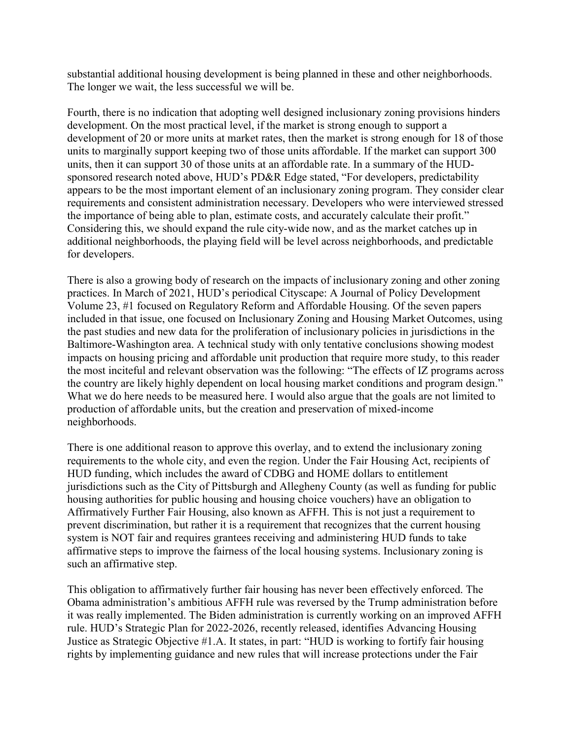substantial additional housing development is being planned in these and other neighborhoods. The longer we wait, the less successful we will be.

Fourth, there is no indication that adopting well designed inclusionary zoning provisions hinders development. On the most practical level, if the market is strong enough to support a development of 20 or more units at market rates, then the market is strong enough for 18 of those units to marginally support keeping two of those units affordable. If the market can support 300 units, then it can support 30 of those units at an affordable rate. In a summary of the HUDsponsored research noted above, HUD's PD&R Edge stated, "For developers, predictability appears to be the most important element of an inclusionary zoning program. They consider clear requirements and consistent administration necessary. Developers who were interviewed stressed the importance of being able to plan, estimate costs, and accurately calculate their profit." Considering this, we should expand the rule city-wide now, and as the market catches up in additional neighborhoods, the playing field will be level across neighborhoods, and predictable for developers.

There is also a growing body of research on the impacts of inclusionary zoning and other zoning practices. In March of 2021, HUD's periodical Cityscape: A Journal of Policy Development Volume 23, #1 focused on Regulatory Reform and Affordable Housing. Of the seven papers included in that issue, one focused on Inclusionary Zoning and Housing Market Outcomes, using the past studies and new data for the proliferation of inclusionary policies in jurisdictions in the Baltimore-Washington area. A technical study with only tentative conclusions showing modest impacts on housing pricing and affordable unit production that require more study, to this reader the most inciteful and relevant observation was the following: "The effects of IZ programs across the country are likely highly dependent on local housing market conditions and program design." What we do here needs to be measured here. I would also argue that the goals are not limited to production of affordable units, but the creation and preservation of mixed-income neighborhoods.

There is one additional reason to approve this overlay, and to extend the inclusionary zoning requirements to the whole city, and even the region. Under the Fair Housing Act, recipients of HUD funding, which includes the award of CDBG and HOME dollars to entitlement jurisdictions such as the City of Pittsburgh and Allegheny County (as well as funding for public housing authorities for public housing and housing choice vouchers) have an obligation to Affirmatively Further Fair Housing, also known as AFFH. This is not just a requirement to prevent discrimination, but rather it is a requirement that recognizes that the current housing system is NOT fair and requires grantees receiving and administering HUD funds to take affirmative steps to improve the fairness of the local housing systems. Inclusionary zoning is such an affirmative step.

This obligation to affirmatively further fair housing has never been effectively enforced. The Obama administration's ambitious AFFH rule was reversed by the Trump administration before it was really implemented. The Biden administration is currently working on an improved AFFH rule. HUD's Strategic Plan for 2022-2026, recently released, identifies Advancing Housing Justice as Strategic Objective #1.A. It states, in part: "HUD is working to fortify fair housing rights by implementing guidance and new rules that will increase protections under the Fair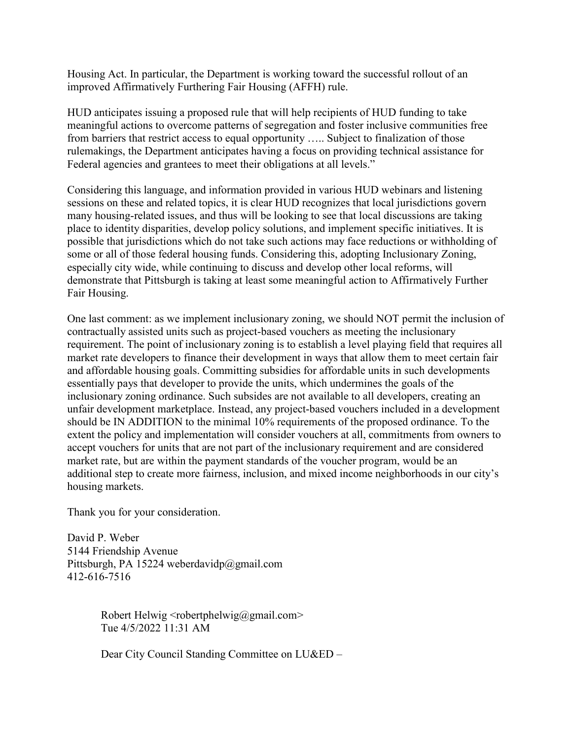Housing Act. In particular, the Department is working toward the successful rollout of an improved Affirmatively Furthering Fair Housing (AFFH) rule.

HUD anticipates issuing a proposed rule that will help recipients of HUD funding to take meaningful actions to overcome patterns of segregation and foster inclusive communities free from barriers that restrict access to equal opportunity ….. Subject to finalization of those rulemakings, the Department anticipates having a focus on providing technical assistance for Federal agencies and grantees to meet their obligations at all levels."

Considering this language, and information provided in various HUD webinars and listening sessions on these and related topics, it is clear HUD recognizes that local jurisdictions govern many housing-related issues, and thus will be looking to see that local discussions are taking place to identity disparities, develop policy solutions, and implement specific initiatives. It is possible that jurisdictions which do not take such actions may face reductions or withholding of some or all of those federal housing funds. Considering this, adopting Inclusionary Zoning, especially city wide, while continuing to discuss and develop other local reforms, will demonstrate that Pittsburgh is taking at least some meaningful action to Affirmatively Further Fair Housing.

One last comment: as we implement inclusionary zoning, we should NOT permit the inclusion of contractually assisted units such as project-based vouchers as meeting the inclusionary requirement. The point of inclusionary zoning is to establish a level playing field that requires all market rate developers to finance their development in ways that allow them to meet certain fair and affordable housing goals. Committing subsidies for affordable units in such developments essentially pays that developer to provide the units, which undermines the goals of the inclusionary zoning ordinance. Such subsides are not available to all developers, creating an unfair development marketplace. Instead, any project-based vouchers included in a development should be IN ADDITION to the minimal 10% requirements of the proposed ordinance. To the extent the policy and implementation will consider vouchers at all, commitments from owners to accept vouchers for units that are not part of the inclusionary requirement and are considered market rate, but are within the payment standards of the voucher program, would be an additional step to create more fairness, inclusion, and mixed income neighborhoods in our city's housing markets.

Thank you for your consideration.

David P. Weber 5144 Friendship Avenue Pittsburgh, PA 15224 weberdavidp@gmail.com 412-616-7516

> Robert Helwig <robertphelwig@gmail.com> Tue 4/5/2022 11:31 AM

Dear City Council Standing Committee on LU&ED –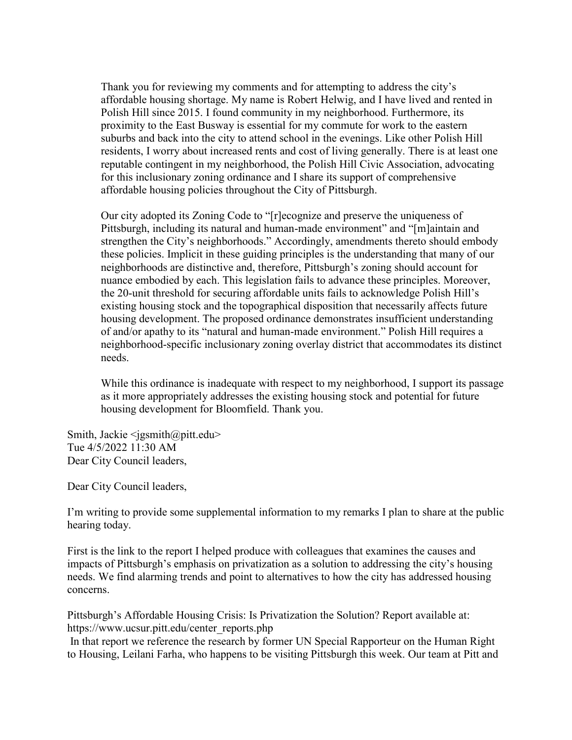Thank you for reviewing my comments and for attempting to address the city's affordable housing shortage. My name is Robert Helwig, and I have lived and rented in Polish Hill since 2015. I found community in my neighborhood. Furthermore, its proximity to the East Busway is essential for my commute for work to the eastern suburbs and back into the city to attend school in the evenings. Like other Polish Hill residents, I worry about increased rents and cost of living generally. There is at least one reputable contingent in my neighborhood, the Polish Hill Civic Association, advocating for this inclusionary zoning ordinance and I share its support of comprehensive affordable housing policies throughout the City of Pittsburgh.

Our city adopted its Zoning Code to "[r]ecognize and preserve the uniqueness of Pittsburgh, including its natural and human-made environment" and "[m]aintain and strengthen the City's neighborhoods." Accordingly, amendments thereto should embody these policies. Implicit in these guiding principles is the understanding that many of our neighborhoods are distinctive and, therefore, Pittsburgh's zoning should account for nuance embodied by each. This legislation fails to advance these principles. Moreover, the 20-unit threshold for securing affordable units fails to acknowledge Polish Hill's existing housing stock and the topographical disposition that necessarily affects future housing development. The proposed ordinance demonstrates insufficient understanding of and/or apathy to its "natural and human-made environment." Polish Hill requires a neighborhood-specific inclusionary zoning overlay district that accommodates its distinct needs.

While this ordinance is inadequate with respect to my neighborhood, I support its passage as it more appropriately addresses the existing housing stock and potential for future housing development for Bloomfield. Thank you.

Smith, Jackie <jgsmith@pitt.edu> Tue 4/5/2022 11:30 AM Dear City Council leaders,

Dear City Council leaders,

I'm writing to provide some supplemental information to my remarks I plan to share at the public hearing today.

First is the link to the report I helped produce with colleagues that examines the causes and impacts of Pittsburgh's emphasis on privatization as a solution to addressing the city's housing needs. We find alarming trends and point to alternatives to how the city has addressed housing concerns.

Pittsburgh's Affordable Housing Crisis: Is Privatization the Solution? Report available at: https://www.ucsur.pitt.edu/center\_reports.php

In that report we reference the research by former UN Special Rapporteur on the Human Right to Housing, Leilani Farha, who happens to be visiting Pittsburgh this week. Our team at Pitt and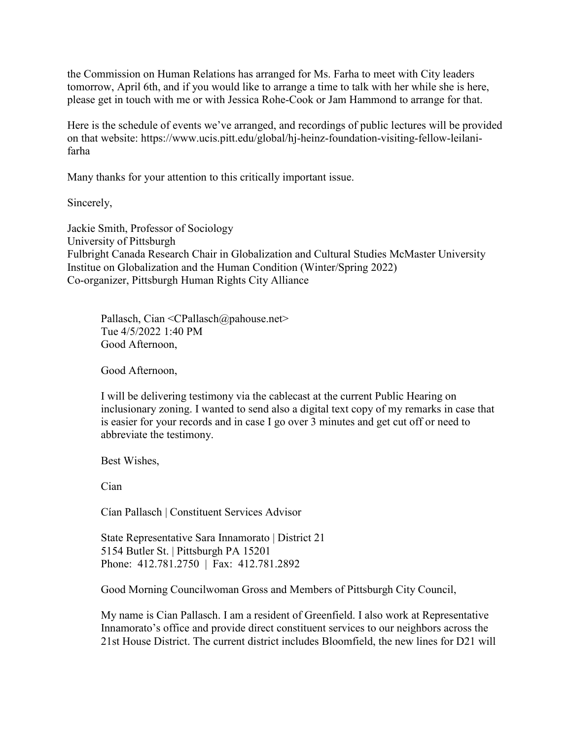the Commission on Human Relations has arranged for Ms. Farha to meet with City leaders tomorrow, April 6th, and if you would like to arrange a time to talk with her while she is here, please get in touch with me or with Jessica Rohe-Cook or Jam Hammond to arrange for that.

Here is the schedule of events we've arranged, and recordings of public lectures will be provided on that website: https://www.ucis.pitt.edu/global/hj-heinz-foundation-visiting-fellow-leilanifarha

Many thanks for your attention to this critically important issue.

Sincerely,

Jackie Smith, Professor of Sociology University of Pittsburgh Fulbright Canada Research Chair in Globalization and Cultural Studies McMaster University Institue on Globalization and the Human Condition (Winter/Spring 2022) Co-organizer, Pittsburgh Human Rights City Alliance

Pallasch, Cian <CPallasch@pahouse.net> Tue 4/5/2022 1:40 PM Good Afternoon,

Good Afternoon,

I will be delivering testimony via the cablecast at the current Public Hearing on inclusionary zoning. I wanted to send also a digital text copy of my remarks in case that is easier for your records and in case I go over 3 minutes and get cut off or need to abbreviate the testimony.

Best Wishes,

Cian

Cían Pallasch | Constituent Services Advisor

State Representative Sara Innamorato | District 21 5154 Butler St. | Pittsburgh PA 15201 Phone: 412.781.2750 | Fax: 412.781.2892

Good Morning Councilwoman Gross and Members of Pittsburgh City Council,

My name is Cian Pallasch. I am a resident of Greenfield. I also work at Representative Innamorato's office and provide direct constituent services to our neighbors across the 21st House District. The current district includes Bloomfield, the new lines for D21 will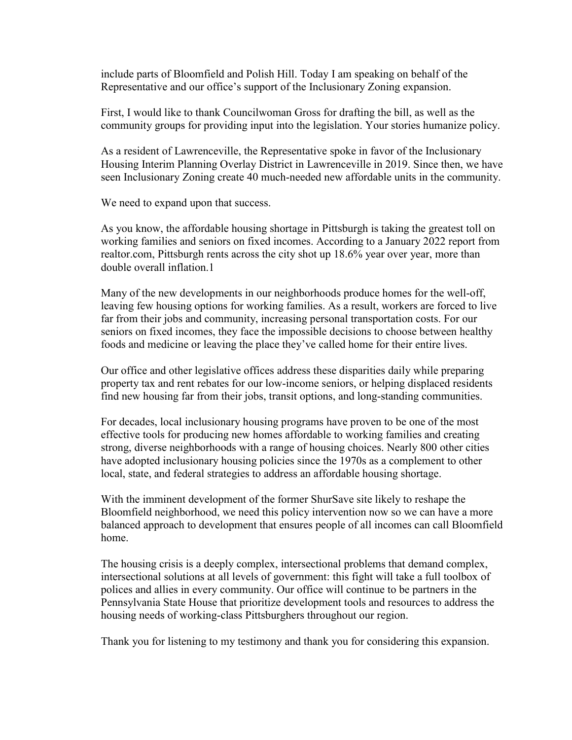include parts of Bloomfield and Polish Hill. Today I am speaking on behalf of the Representative and our office's support of the Inclusionary Zoning expansion.

First, I would like to thank Councilwoman Gross for drafting the bill, as well as the community groups for providing input into the legislation. Your stories humanize policy.

As a resident of Lawrenceville, the Representative spoke in favor of the Inclusionary Housing Interim Planning Overlay District in Lawrenceville in 2019. Since then, we have seen Inclusionary Zoning create 40 much-needed new affordable units in the community.

We need to expand upon that success.

As you know, the affordable housing shortage in Pittsburgh is taking the greatest toll on working families and seniors on fixed incomes. According to a January 2022 report from realtor.com, Pittsburgh rents across the city shot up 18.6% year over year, more than double overall inflation.1

Many of the new developments in our neighborhoods produce homes for the well-off, leaving few housing options for working families. As a result, workers are forced to live far from their jobs and community, increasing personal transportation costs. For our seniors on fixed incomes, they face the impossible decisions to choose between healthy foods and medicine or leaving the place they've called home for their entire lives.

Our office and other legislative offices address these disparities daily while preparing property tax and rent rebates for our low-income seniors, or helping displaced residents find new housing far from their jobs, transit options, and long-standing communities.

For decades, local inclusionary housing programs have proven to be one of the most effective tools for producing new homes affordable to working families and creating strong, diverse neighborhoods with a range of housing choices. Nearly 800 other cities have adopted inclusionary housing policies since the 1970s as a complement to other local, state, and federal strategies to address an affordable housing shortage.

With the imminent development of the former ShurSave site likely to reshape the Bloomfield neighborhood, we need this policy intervention now so we can have a more balanced approach to development that ensures people of all incomes can call Bloomfield home.

The housing crisis is a deeply complex, intersectional problems that demand complex, intersectional solutions at all levels of government: this fight will take a full toolbox of polices and allies in every community. Our office will continue to be partners in the Pennsylvania State House that prioritize development tools and resources to address the housing needs of working-class Pittsburghers throughout our region.

Thank you for listening to my testimony and thank you for considering this expansion.